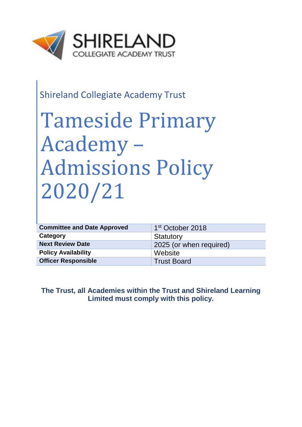

# Shireland Collegiate Academy Trust

# Tameside Primary Academy – Admissions Policy 2020/21

| <b>Committee and Date Approved</b> | 1 <sup>st</sup> October 2018 |  |
|------------------------------------|------------------------------|--|
| Category                           | Statutory                    |  |
| <b>Next Review Date</b>            | 2025 (or when required)      |  |
| <b>Policy Availability</b>         | Website                      |  |
| <b>Officer Responsible</b>         | <b>Trust Board</b>           |  |

## **The Trust, all Academies within the Trust and Shireland Learning Limited must comply with this policy.**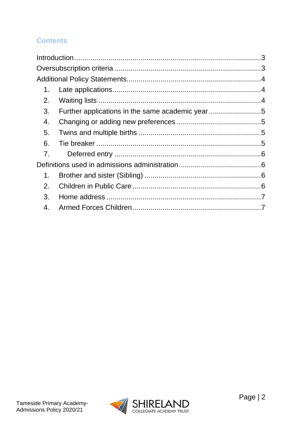# **Contents**

| 1. |  |
|----|--|
| 2. |  |
| 3. |  |
| 4. |  |
| 5. |  |
| 6. |  |
| 7. |  |
|    |  |
| 1. |  |
| 2. |  |
| 3. |  |
| 4. |  |

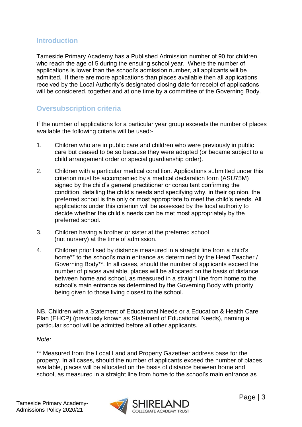### <span id="page-2-0"></span>**Introduction**

Tameside Primary Academy has a Published Admission number of 90 for children who reach the age of 5 during the ensuing school year. Where the number of applications is lower than the school's admission number, all applicants will be admitted. If there are more applications than places available then all applications received by the Local Authority's designated closing date for receipt of applications will be considered, together and at one time by a committee of the Governing Body.

# <span id="page-2-1"></span>**Oversubscription criteria**

If the number of applications for a particular year group exceeds the number of places available the following criteria will be used:-

- 1. Children who are in public care and children who were previously in public care but ceased to be so because they were adopted (or became subject to a child arrangement order or special guardianship order).
- 2. Children with a particular medical condition. Applications submitted under this criterion must be accompanied by a medical declaration form (ASU75M) signed by the child's general practitioner or consultant confirming the condition, detailing the child's needs and specifying why, in their opinion, the preferred school is the only or most appropriate to meet the child's needs. All applications under this criterion will be assessed by the local authority to decide whether the child's needs can be met most appropriately by the preferred school.
- 3. Children having a brother or sister at the preferred school (not nursery) at the time of admission.
- 4. Children prioritised by distance measured in a straight line from a child's home\*\* to the school's main entrance as determined by the Head Teacher / Governing Body\*\*. In all cases, should the number of applicants exceed the number of places available, places will be allocated on the basis of distance between home and school, as measured in a straight line from home to the school's main entrance as determined by the Governing Body with priority being given to those living closest to the school.

NB. Children with a Statement of Educational Needs or a Education & Health Care Plan (EHCP) (previously known as Statement of Educational Needs), naming a particular school will be admitted before all other applicants.

*Note:* 

\*\* Measured from the Local Land and Property Gazetteer address base for the property. In all cases, should the number of applicants exceed the number of places available, places will be allocated on the basis of distance between home and school, as measured in a straight line from home to the school's main entrance as

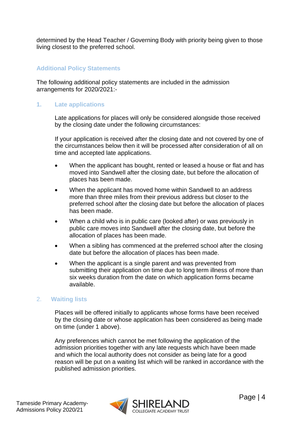determined by the Head Teacher / Governing Body with priority being given to those living closest to the preferred school.

#### <span id="page-3-0"></span>**Additional Policy Statements**

The following additional policy statements are included in the admission arrangements for 2020/2021:-

#### <span id="page-3-1"></span>**1. Late applications**

Late applications for places will only be considered alongside those received by the closing date under the following circumstances:

If your application is received after the closing date and not covered by one of the circumstances below then it will be processed after consideration of all on time and accepted late applications.

- When the applicant has bought, rented or leased a house or flat and has moved into Sandwell after the closing date, but before the allocation of places has been made.
- When the applicant has moved home within Sandwell to an address more than three miles from their previous address but closer to the preferred school after the closing date but before the allocation of places has been made.
- When a child who is in public care (looked after) or was previously in public care moves into Sandwell after the closing date, but before the allocation of places has been made.
- When a sibling has commenced at the preferred school after the closing date but before the allocation of places has been made.
- When the applicant is a single parent and was prevented from submitting their application on time due to long term illness of more than six weeks duration from the date on which application forms became available.

#### <span id="page-3-2"></span>2. **Waiting lists**

Places will be offered initially to applicants whose forms have been received by the closing date or whose application has been considered as being made on time (under 1 above).

Any preferences which cannot be met following the application of the admission priorities together with any late requests which have been made and which the local authority does not consider as being late for a good reason will be put on a waiting list which will be ranked in accordance with the published admission priorities.

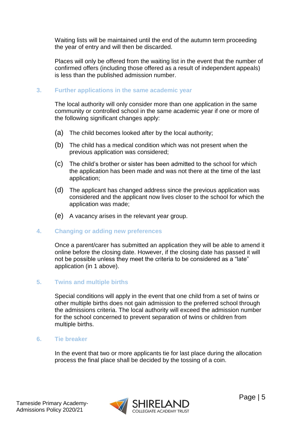Waiting lists will be maintained until the end of the autumn term proceeding the year of entry and will then be discarded.

Places will only be offered from the waiting list in the event that the number of confirmed offers (including those offered as a result of independent appeals) is less than the published admission number.

#### <span id="page-4-0"></span>**3. Further applications in the same academic year**

The local authority will only consider more than one application in the same community or controlled school in the same academic year if one or more of the following significant changes apply:

- (a) The child becomes looked after by the local authority;
- (b) The child has a medical condition which was not present when the previous application was considered;
- (c) The child's brother or sister has been admitted to the school for which the application has been made and was not there at the time of the last application;
- (d) The applicant has changed address since the previous application was considered and the applicant now lives closer to the school for which the application was made;
- (e) A vacancy arises in the relevant year group.

#### <span id="page-4-1"></span>**4. Changing or adding new preferences**

Once a parent/carer has submitted an application they will be able to amend it online before the closing date. However, if the closing date has passed it will not be possible unless they meet the criteria to be considered as a "late" application (in 1 above).

#### <span id="page-4-2"></span>**5. Twins and multiple births**

Special conditions will apply in the event that one child from a set of twins or other multiple births does not gain admission to the preferred school through the admissions criteria. The local authority will exceed the admission number for the school concerned to prevent separation of twins or children from multiple births.

#### <span id="page-4-3"></span>**6. Tie breaker**

In the event that two or more applicants tie for last place during the allocation process the final place shall be decided by the tossing of a coin.

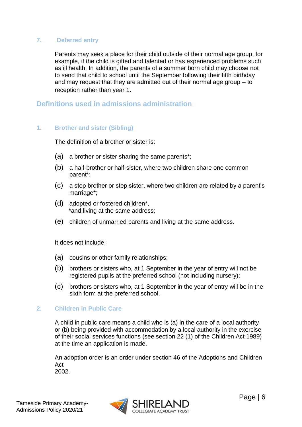#### <span id="page-5-0"></span>**7. Deferred entry**

Parents may seek a place for their child outside of their normal age group, for example, if the child is gifted and talented or has experienced problems such as ill health. In addition, the parents of a summer born child may choose not to send that child to school until the September following their fifth birthday and may request that they are admitted out of their normal age group – to reception rather than year 1.

#### <span id="page-5-1"></span>**Definitions used in admissions administration**

#### <span id="page-5-2"></span>**1. Brother and sister (Sibling)**

The definition of a brother or sister is:

- (a) a brother or sister sharing the same parents\*;
- (b) a half-brother or half-sister, where two children share one common parent\*;
- (c) a step brother or step sister, where two children are related by a parent's marriage\*;
- (d) adopted or fostered children\*, \*and living at the same address;
- (e) children of unmarried parents and living at the same address.

It does not include:

- (a) cousins or other family relationships;
- (b) brothers or sisters who, at 1 September in the year of entry will not be registered pupils at the preferred school (not including nursery);
- (c) brothers or sisters who, at 1 September in the year of entry will be in the sixth form at the preferred school.

#### <span id="page-5-3"></span>**2. Children in Public Care**

A child in public care means a child who is (a) in the care of a local authority or (b) being provided with accommodation by a local authority in the exercise of their social services functions (see section 22 (1) of the Children Act 1989) at the time an application is made.

An adoption order is an order under section 46 of the Adoptions and Children Act

2002.